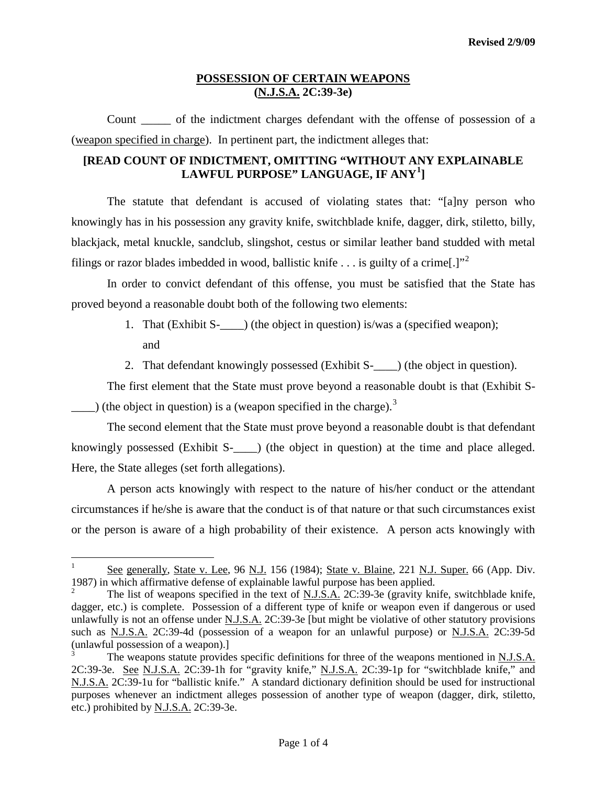Count \_\_\_\_\_ of the indictment charges defendant with the offense of possession of a (weapon specified in charge). In pertinent part, the indictment alleges that:

## **[READ COUNT OF INDICTMENT, OMITTING "WITHOUT ANY EXPLAINABLE LAWFUL PURPOSE" LANGUAGE, IF ANY[1](#page-1-0) ]**

The statute that defendant is accused of violating states that: "[a]ny person who knowingly has in his possession any gravity knife, switchblade knife, dagger, dirk, stiletto, billy, blackjack, metal knuckle, sandclub, slingshot, cestus or similar leather band studded with metal filings or razor blades imbedded in wood, ballistic knife  $\ldots$  is guilty of a crime.

In order to convict defendant of this offense, you must be satisfied that the State has proved beyond a reasonable doubt both of the following two elements:

- 1. That (Exhibit S-\_\_\_\_) (the object in question) is/was a (specified weapon); and
- 2. That defendant knowingly possessed (Exhibit S- ) (the object in question).

The first element that the State must prove beyond a reasonable doubt is that (Exhibit S- (the object in question) is a (weapon specified in the charge).<sup>[3](#page-0-1)</sup>

The second element that the State must prove beyond a reasonable doubt is that defendant knowingly possessed (Exhibit S-  $\blacksquare$ ) (the object in question) at the time and place alleged. Here, the State alleges (set forth allegations).

A person acts knowingly with respect to the nature of his/her conduct or the attendant circumstances if he/she is aware that the conduct is of that nature or that such circumstances exist or the person is aware of a high probability of their existence. A person acts knowingly with

See generally, State v. Lee, 96 N.J. 156 (1984); State v. Blaine, 221 N.J. Super. 66 (App. Div. 1987) in which affirmative defense of explainable lawful purpose has been applied.

<span id="page-0-0"></span><sup>2</sup> The list of weapons specified in the text of N.J.S.A. 2C:39-3e (gravity knife, switchblade knife, dagger, etc.) is complete. Possession of a different type of knife or weapon even if dangerous or used unlawfully is not an offense under N.J.S.A. 2C:39-3e [but might be violative of other statutory provisions such as N.J.S.A. 2C:39-4d (possession of a weapon for an unlawful purpose) or N.J.S.A. 2C:39-5d (unlawful possession of a weapon).]

<span id="page-0-2"></span><span id="page-0-1"></span>The weapons statute provides specific definitions for three of the weapons mentioned in N.J.S.A. 2C:39-3e. See N.J.S.A. 2C:39-1h for "gravity knife," N.J.S.A. 2C:39-1p for "switchblade knife," and N.J.S.A. 2C:39-1u for "ballistic knife." A standard dictionary definition should be used for instructional purposes whenever an indictment alleges possession of another type of weapon (dagger, dirk, stiletto, etc.) prohibited by N.J.S.A. 2C:39-3e.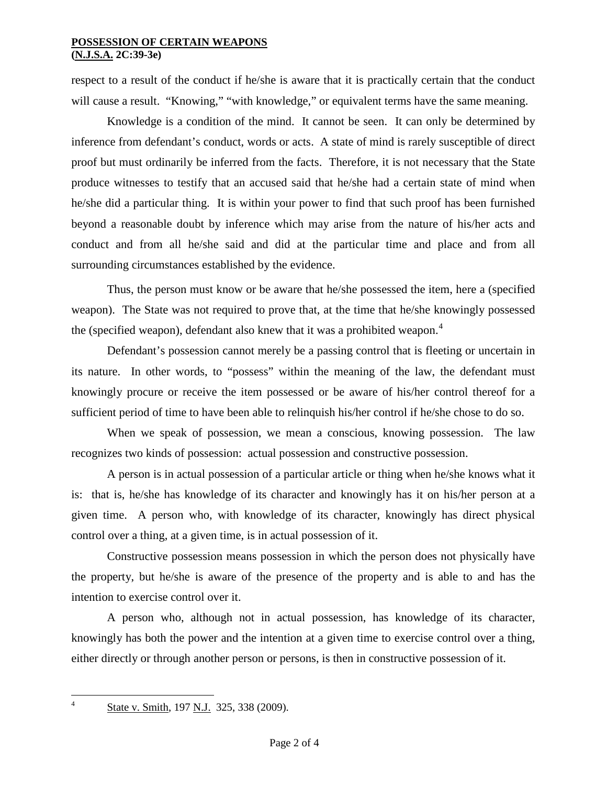respect to a result of the conduct if he/she is aware that it is practically certain that the conduct will cause a result. "Knowing," "with knowledge," or equivalent terms have the same meaning.

Knowledge is a condition of the mind. It cannot be seen. It can only be determined by inference from defendant's conduct, words or acts. A state of mind is rarely susceptible of direct proof but must ordinarily be inferred from the facts. Therefore, it is not necessary that the State produce witnesses to testify that an accused said that he/she had a certain state of mind when he/she did a particular thing. It is within your power to find that such proof has been furnished beyond a reasonable doubt by inference which may arise from the nature of his/her acts and conduct and from all he/she said and did at the particular time and place and from all surrounding circumstances established by the evidence.

Thus, the person must know or be aware that he/she possessed the item, here a (specified weapon). The State was not required to prove that, at the time that he/she knowingly possessed the (specified weapon), defendant also knew that it was a prohibited weapon.<sup>[4](#page-0-2)</sup>

Defendant's possession cannot merely be a passing control that is fleeting or uncertain in its nature. In other words, to "possess" within the meaning of the law, the defendant must knowingly procure or receive the item possessed or be aware of his/her control thereof for a sufficient period of time to have been able to relinquish his/her control if he/she chose to do so.

When we speak of possession, we mean a conscious, knowing possession. The law recognizes two kinds of possession: actual possession and constructive possession.

<span id="page-1-1"></span>A person is in actual possession of a particular article or thing when he/she knows what it is: that is, he/she has knowledge of its character and knowingly has it on his/her person at a given time. A person who, with knowledge of its character, knowingly has direct physical control over a thing, at a given time, is in actual possession of it.

<span id="page-1-0"></span>Constructive possession means possession in which the person does not physically have the property, but he/she is aware of the presence of the property and is able to and has the intention to exercise control over it.

A person who, although not in actual possession, has knowledge of its character, knowingly has both the power and the intention at a given time to exercise control over a thing, either directly or through another person or persons, is then in constructive possession of it.

 <sup>4</sup> State v. Smith, 197 N.J. 325, 338 (2009).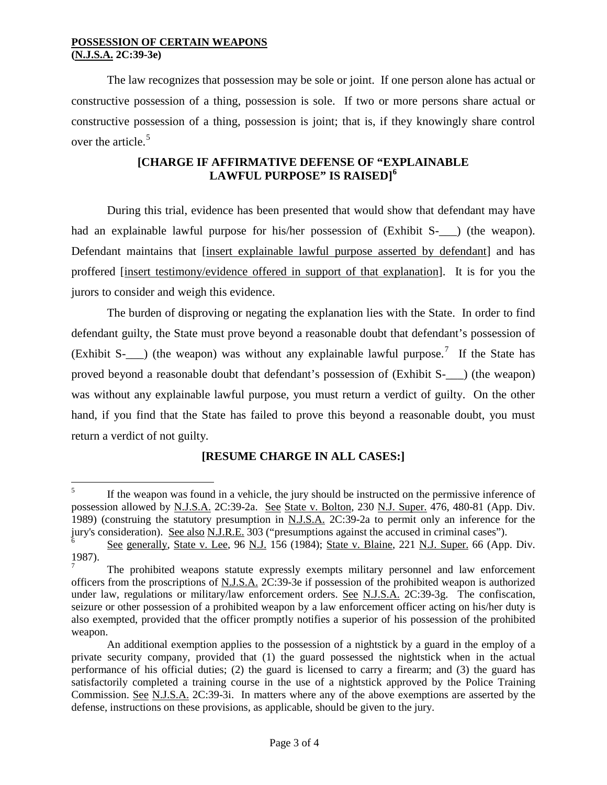The law recognizes that possession may be sole or joint. If one person alone has actual or constructive possession of a thing, possession is sole. If two or more persons share actual or constructive possession of a thing, possession is joint; that is, if they knowingly share control over the article.<sup>[5](#page-1-1)</sup>

## **[CHARGE IF AFFIRMATIVE DEFENSE OF "EXPLAINABLE LAWFUL PURPOSE" IS RAISED] [6](#page-2-0)**

During this trial, evidence has been presented that would show that defendant may have had an explainable lawful purpose for his/her possession of (Exhibit S- $\Box$ ) (the weapon). Defendant maintains that [insert explainable lawful purpose asserted by defendant] and has proffered [insert testimony/evidence offered in support of that explanation]. It is for you the jurors to consider and weigh this evidence.

The burden of disproving or negating the explanation lies with the State. In order to find defendant guilty, the State must prove beyond a reasonable doubt that defendant's possession of (Exhibit S- $\Box$ ) (the weapon) was without any explainable lawful purpose.<sup>[7](#page-2-1)</sup> If the State has proved beyond a reasonable doubt that defendant's possession of (Exhibit S-\_\_\_) (the weapon) was without any explainable lawful purpose, you must return a verdict of guilty. On the other hand, if you find that the State has failed to prove this beyond a reasonable doubt, you must return a verdict of not guilty.

# **[RESUME CHARGE IN ALL CASES:]**

<sup>&</sup>lt;sup>5</sup> If the weapon was found in a vehicle, the jury should be instructed on the permissive inference of possession allowed by N.J.S.A. 2C:39-2a. See State v. Bolton, 230 N.J. Super. 476, 480-81 (App. Div. 1989) (construing the statutory presumption in N.J.S.A. 2C:39-2a to permit only an inference for the jury's consideration). See also N.J.R.E. 303 ("presumptions against the accused in criminal cases").

<span id="page-2-0"></span><sup>6</sup> See generally, State v. Lee, 96 N.J. 156 (1984); State v. Blaine, 221 N.J. Super. 66 (App. Div. 1987).

<span id="page-2-1"></span><sup>7</sup> The prohibited weapons statute expressly exempts military personnel and law enforcement officers from the proscriptions of N.J.S.A. 2C:39-3e if possession of the prohibited weapon is authorized under law, regulations or military/law enforcement orders. See N.J.S.A. 2C:39-3g. The confiscation, seizure or other possession of a prohibited weapon by a law enforcement officer acting on his/her duty is also exempted, provided that the officer promptly notifies a superior of his possession of the prohibited weapon.

An additional exemption applies to the possession of a nightstick by a guard in the employ of a private security company, provided that (1) the guard possessed the nightstick when in the actual performance of his official duties; (2) the guard is licensed to carry a firearm; and (3) the guard has satisfactorily completed a training course in the use of a nightstick approved by the Police Training Commission. See N.J.S.A. 2C:39-3i. In matters where any of the above exemptions are asserted by the defense, instructions on these provisions, as applicable, should be given to the jury.